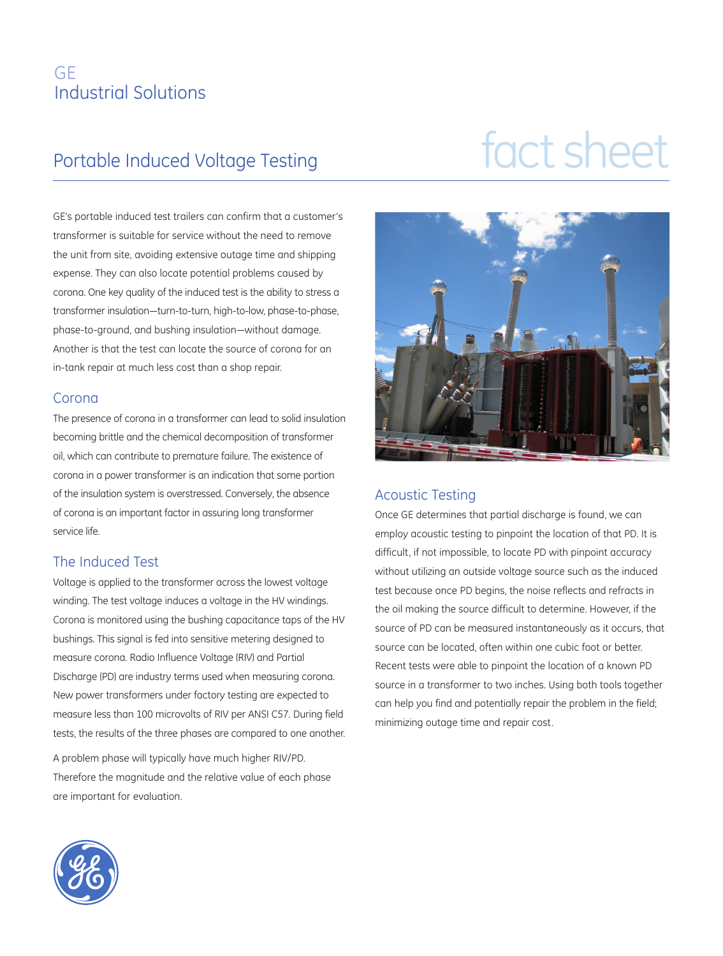### GE Industrial Solutions

# Portable Induced Voltage Testing fact sheet

GE's portable induced test trailers can confirm that a customer's transformer is suitable for service without the need to remove the unit from site, avoiding extensive outage time and shipping expense. They can also locate potential problems caused by corona. One key quality of the induced test is the ability to stress a transformer insulation—turn-to-turn, high-to-low, phase-to-phase, phase-to-ground, and bushing insulation—without damage. Another is that the test can locate the source of corona for an in-tank repair at much less cost than a shop repair.

### Corona

The presence of corona in a transformer can lead to solid insulation becoming brittle and the chemical decomposition of transformer oil, which can contribute to premature failure. The existence of corona in a power transformer is an indication that some portion of the insulation system is overstressed. Conversely, the absence of corona is an important factor in assuring long transformer service life.

### The Induced Test

Voltage is applied to the transformer across the lowest voltage winding. The test voltage induces a voltage in the HV windings. Corona is monitored using the bushing capacitance taps of the HV bushings. This signal is fed into sensitive metering designed to measure corona. Radio Influence Voltage (RIV) and Partial Discharge (PD) are industry terms used when measuring corona. New power transformers under factory testing are expected to measure less than 100 microvolts of RIV per ANSI C57. During field tests, the results of the three phases are compared to one another.

A problem phase will typically have much higher RIV/PD. Therefore the magnitude and the relative value of each phase are important for evaluation.



### Acoustic Testing

Once GE determines that partial discharge is found, we can employ acoustic testing to pinpoint the location of that PD. It is difficult, if not impossible, to locate PD with pinpoint accuracy without utilizing an outside voltage source such as the induced test because once PD begins, the noise reflects and refracts in the oil making the source difficult to determine. However, if the source of PD can be measured instantaneously as it occurs, that source can be located, often within one cubic foot or better. Recent tests were able to pinpoint the location of a known PD source in a transformer to two inches. Using both tools together can help you find and potentially repair the problem in the field; minimizing outage time and repair cost.